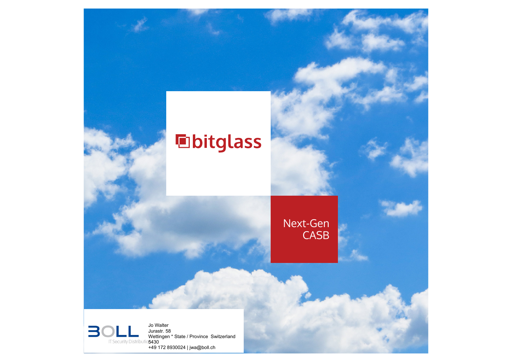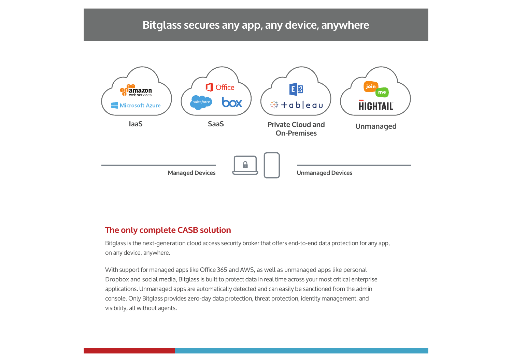# **Bitglass secures any app, any device, anywhere**



#### **The only complete CASB solution**

Bitglass is the next-generation cloud access security broker that offers end-to-end data protection for any app, on any device, anywhere.

With support for managed apps like Office 365 and AWS, as well as unmanaged apps like personal Dropbox and social media, Bitglass is built to protect data in real time across your most critical enterprise applications. Unmanaged apps are automatically detected and can easily be sanctioned from the admin console. Only Bitglass provides zero-day data protection, threat protection, identity management, and visibility, all without agents.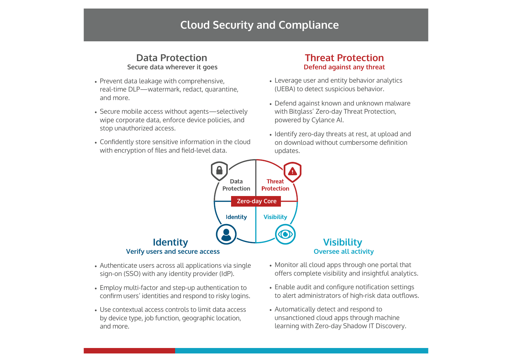## **Cloud Security and Compliance**

### **Data Protection** Secure data wherever it goes

- Prevent data leakage with comprehensive, real-time DLP-watermark, redact, quarantine, and more.
- Secure mobile access without agents-selectively wipe corporate data, enforce device policies, and stop unauthorized access.
- Confidently store sensitive information in the cloud with encryption of files and field-level data.

#### **Threat Protection** Defend against any threat

- Leverage user and entity behavior analytics (UEBA) to detect suspicious behavior.
- Defend against known and unknown malware with Bitglass' Zero-day Threat Protection, powered by Cylance AI.
- Identify zero-day threats at rest, at upload and on download without cumbersome definition updates.



- Authenticate users across all applications via single sign-on (SSO) with any identity provider (IdP).
- Employ multi-factor and step-up authentication to confirm users' identities and respond to risky logins.
- Use contextual access controls to limit data access by device type, job function, geographic location, and more.
- Monitor all cloud apps through one portal that offers complete visibility and insightful analytics.
- Enable audit and configure notification settings to alert administrators of high-risk data outflows.
- Automatically detect and respond to unsanctioned cloud apps through machine learning with Zero-day Shadow IT Discovery.